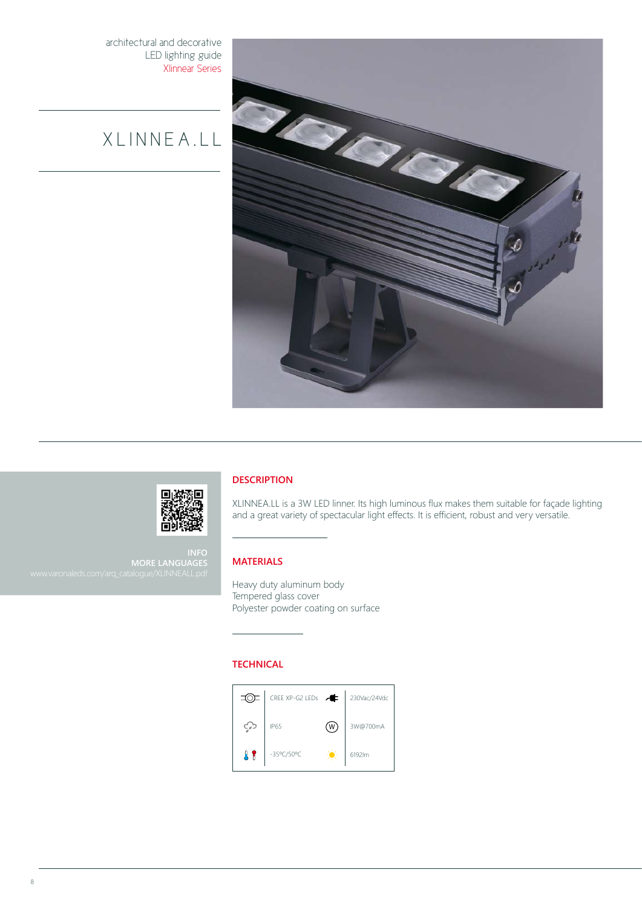architectural and decorative LED lighting guide Xlinnear Series

# X L I N N E A . L L





**INFO MORE LANGUAGES**

## **DESCRIPTION**

XLINNEA.LL is a 3W LED linner. Its high luminous flux makes them suitable for façade lighting and a great variety of spectacular light effects. It is efficient, robust and very versatile.

### **MATERIALS**

Heavy duty aluminum body Tempered glass cover Polyester powder coating on surface

### **TECHNICAL**